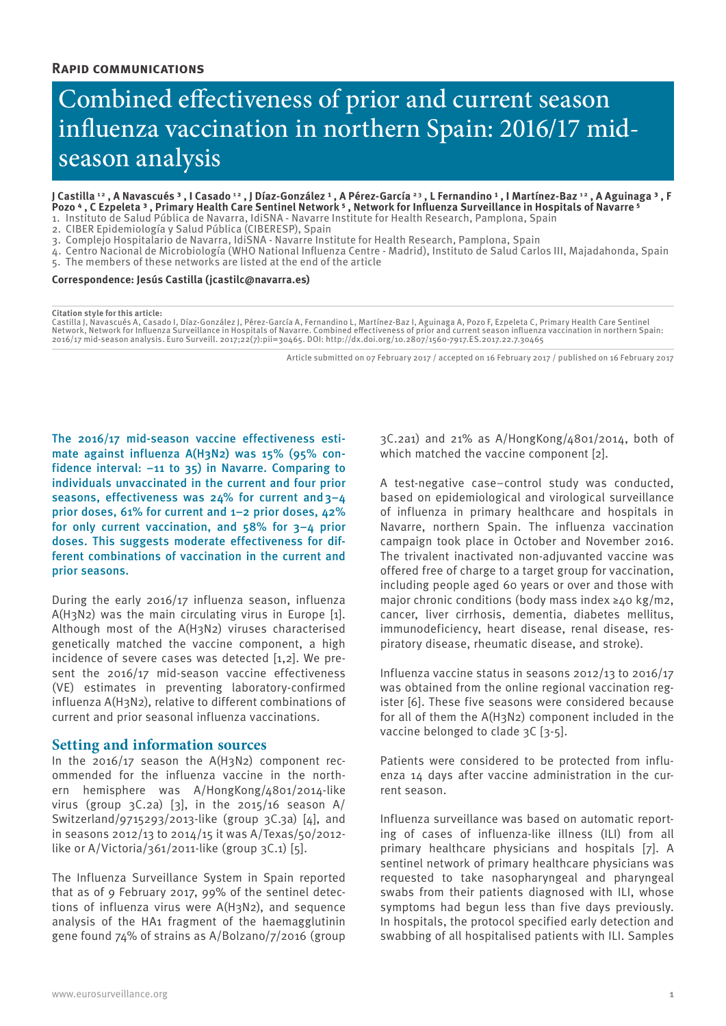# **Rapid communications**

# Combined effectiveness of prior and current season influenza vaccination in northern Spain: 2016/17 midseason analysis

J Castilla<sup>12</sup>, A Navascués<sup>3</sup>, I Casado<sup>12</sup>, J Díaz-González<sup>1</sup>, A Pérez-García<sup>23</sup>, L Fernandino<sup>1</sup>, I Martínez-Baz<sup>12</sup>, A Aguinaga<sup>3</sup>, F Pozo 4, C Ezpeleta <sup>3</sup>, Primary Health Care Sentinel Network <sup>5</sup>, Network for Influenza Surveillance in Hospitals of Navarre <sup>5</sup>

1. Instituto de Salud Pública de Navarra, IdiSNA - Navarre Institute for Health Research, Pamplona, Spain 2. CIBER Epidemiología y Salud Pública (CIBERESP), Spain

3. Complejo Hospitalario de Navarra, IdiSNA - Navarre Institute for Health Research, Pamplona, Spain

4. Centro Nacional de Microbiología (WHO National Influenza Centre - Madrid), Instituto de Salud Carlos III, Majadahonda, Spain

5. The members of these networks are listed at the end of the article

**Correspondence: Jesús Castilla (jcastilc@navarra.es)**

#### **Citation style for this article:**

Castilla J, Navascués A, Casado I, Díaz-González J, Pérez-García A, Fernandino L, Martínez-Baz I, Aguinaga A, Pozo F, Ezpeleta C, Primary Health Care Sentinel<br>Network, Network for Influenza Surveillance in Hospitals of Nav 2016/17 mid-season analysis. Euro Surveill. 2017;22(7):pii=30465. DOI: http://dx.doi.org/10.2807/1560-7917.ES.2017.22.7.30465

Article submitted on 07 February 2017 / accepted on 16 February 2017 / published on 16 February 2017

The 2016/17 mid-season vaccine effectiveness estimate against influenza A(H3N2) was 15% (95% confidence interval: −11 to 35) in Navarre. Comparing to individuals unvaccinated in the current and four prior seasons, effectiveness was  $24\%$  for current and  $3-4$ prior doses, 61% for current and 1–2 prior doses, 42% for only current vaccination, and 58% for 3–4 prior doses. This suggests moderate effectiveness for different combinations of vaccination in the current and prior seasons.

During the early 2016/17 influenza season, influenza A(H3N2) was the main circulating virus in Europe [1]. Although most of the A(H3N2) viruses characterised genetically matched the vaccine component, a high incidence of severe cases was detected [1,2]. We present the 2016/17 mid-season vaccine effectiveness (VE) estimates in preventing laboratory-confirmed influenza A(H3N2), relative to different combinations of current and prior seasonal influenza vaccinations.

## **Setting and information sources**

In the 2016/17 season the A(H3N2) component recommended for the influenza vaccine in the northern hemisphere was A/HongKong/4801/2014-like virus (group  $3C.2a$ ) [3], in the 2015/16 season A/ Switzerland/9715293/2013-like (group 3C.3a) [4], and in seasons 2012/13 to 2014/15 it was A/Texas/50/2012 like or A/Victoria/361/2011-like (group  $3C.1$ ) [5].

The Influenza Surveillance System in Spain reported that as of 9 February 2017, 99% of the sentinel detections of influenza virus were A(H3N2), and sequence analysis of the HA1 fragment of the haemagglutinin gene found 74% of strains as A/Bolzano/7/2016 (group

3C.2a1) and 21% as A/HongKong/4801/2014, both of which matched the vaccine component [2].

A test-negative case–control study was conducted, based on epidemiological and virological surveillance of influenza in primary healthcare and hospitals in Navarre, northern Spain. The influenza vaccination campaign took place in October and November 2016. The trivalent inactivated non-adjuvanted vaccine was offered free of charge to a target group for vaccination, including people aged 60 years or over and those with major chronic conditions (body mass index ≥40 kg/m2, cancer, liver cirrhosis, dementia, diabetes mellitus, immunodeficiency, heart disease, renal disease, respiratory disease, rheumatic disease, and stroke).

Influenza vaccine status in seasons 2012/13 to 2016/17 was obtained from the online regional vaccination register [6]. These five seasons were considered because for all of them the A(H3N2) component included in the vaccine belonged to clade 3C [3-5].

Patients were considered to be protected from influenza 14 days after vaccine administration in the current season.

Influenza surveillance was based on automatic reporting of cases of influenza-like illness (ILI) from all primary healthcare physicians and hospitals [7]. A sentinel network of primary healthcare physicians was requested to take nasopharyngeal and pharyngeal swabs from their patients diagnosed with ILI, whose symptoms had begun less than five days previously. In hospitals, the protocol specified early detection and swabbing of all hospitalised patients with ILI. Samples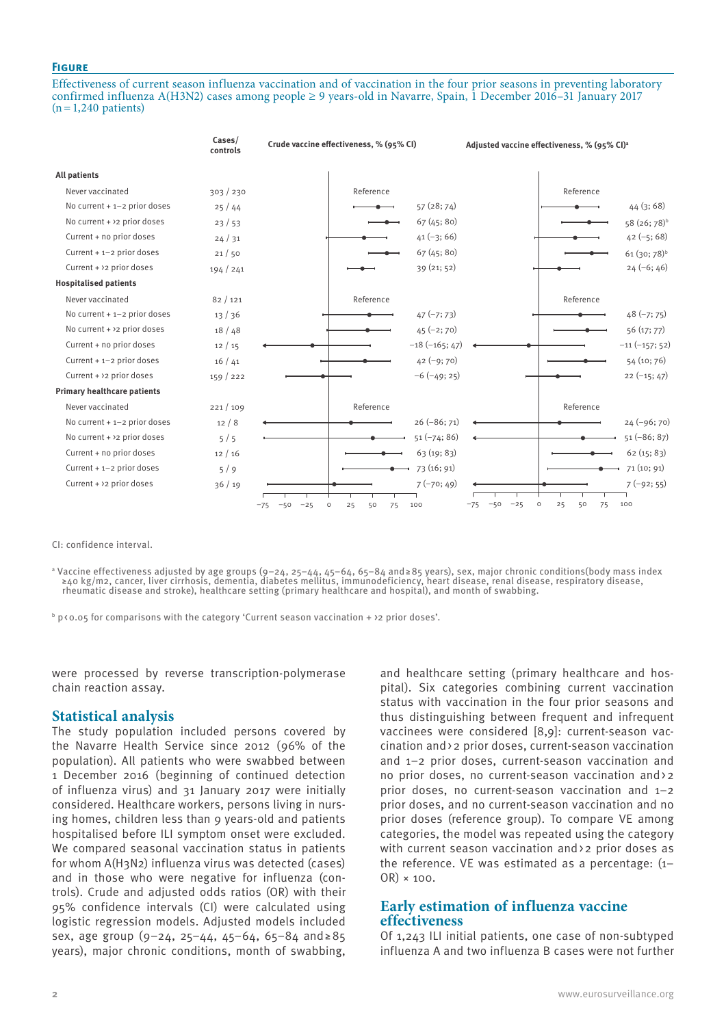## **Figure**

Effectiveness of current season influenza vaccination and of vaccination in the four prior seasons in preventing laboratory confirmed influenza A(H3N2) cases among people ≥ 9 years-old in Navarre, Spain, 1 December 2016–31 January 2017  $(n=1,240$  patients)

|                                    | Cases/<br>controls | Crude vaccine effectiveness, % (95% CI)                     | Adjusted vaccine effectiveness, % (95% CI) <sup>a</sup>     |
|------------------------------------|--------------------|-------------------------------------------------------------|-------------------------------------------------------------|
| <b>All patients</b>                |                    |                                                             |                                                             |
| Never vaccinated                   | 303 / 230          | Reference                                                   | Reference                                                   |
| No current $+1-2$ prior doses      | 25/44              |                                                             | 57 (28; 74)<br>44(3;68)                                     |
| No current + $>2$ prior doses      | 23/53              |                                                             | 67(45; 80)<br>58 (26; 78) <sup>b</sup>                      |
| Current + no prior doses           | 24/31              |                                                             | $42 (-5; 68)$<br>$41 (-3; 66)$                              |
| Current + 1-2 prior doses          | 21/50              |                                                             | 67(45; 80)<br>$61(30;78)^{b}$                               |
| Current + $>2$ prior doses         | 194/241            |                                                             | 39(21; 52)<br>$24(-6; 46)$                                  |
| <b>Hospitalised patients</b>       |                    |                                                             |                                                             |
| Never vaccinated                   | 82/121             | Reference                                                   | Reference                                                   |
| No current $+1-2$ prior doses      | 13/36              |                                                             | $47 (-7; 73)$<br>$48 (-7; 75)$                              |
| No current + $>2$ prior doses      | 18/48              |                                                             | $45 (-2; 70)$<br>56(17; 77)                                 |
| Current + no prior doses           | 12/15              |                                                             | $-18(-165; 47)$<br>$-11(-157; 52)$                          |
| Current + 1-2 prior doses          | 16/41              |                                                             | $42 (-9; 70)$<br>54 (10; 76)                                |
| Current + >2 prior doses           | 159/222            |                                                             | $22(-15; 47)$<br>$-6$ $(-49; 25)$                           |
| <b>Primary healthcare patients</b> |                    |                                                             |                                                             |
| Never vaccinated                   | 221/109            | Reference                                                   | Reference                                                   |
| No current $+1-2$ prior doses      | 12/8               |                                                             | $26 (-86; 71)$<br>$24 (-96; 70)$                            |
| No current $+$ >2 prior doses      | 5/5                |                                                             | $51(-86; 87)$<br>$51(-74; 86)$                              |
| Current + no prior doses           | 12/16              |                                                             | 63 (19; 83)<br>62(15; 83)                                   |
| Current $+ 1 - 2$ prior doses      | 5/9                |                                                             | 73 (16; 91)<br>71 (10; 91)                                  |
| Current + >2 prior doses           | 36/19              |                                                             | $7(-70; 49)$<br>$7(-92; 55)$                                |
|                                    |                    | 25<br>50<br>75<br>100<br>$-50$<br>$-25$<br>$\circ$<br>$-75$ | $-50$<br>$-25$<br>$\circ$<br>25<br>100<br>$-75$<br>50<br>75 |

CI: confidence interval.

ª Vaccine effectiveness adjusted by age groups (9–24, 25–44, 45–64, 65–84 and≥85 years), sex, major chronic conditions(body mass index ≥40 kg/m2, cancer, liver cirrhosis, dementia, diabetes mellitus, immunodeficiency, heart disease, renal disease, respiratory disease, rheumatic disease and stroke), healthcare setting (primary healthcare and hospital), and month of swabbing.

 $^{\rm b}$  p<0.05 for comparisons with the category 'Current season vaccination + >2 prior doses'.

were processed by reverse transcription-polymerase chain reaction assay.

## **Statistical analysis**

The study population included persons covered by the Navarre Health Service since 2012 (96% of the population). All patients who were swabbed between 1 December 2016 (beginning of continued detection of influenza virus) and 31 January 2017 were initially considered. Healthcare workers, persons living in nursing homes, children less than 9 years-old and patients hospitalised before ILI symptom onset were excluded. We compared seasonal vaccination status in patients for whom A(H3N2) influenza virus was detected (cases) and in those who were negative for influenza (controls). Crude and adjusted odds ratios (OR) with their 95% confidence intervals (CI) were calculated using logistic regression models. Adjusted models included sex, age group (9–24, 25–44, 45–64, 65–84 and≥85 years), major chronic conditions, month of swabbing,

and healthcare setting (primary healthcare and hospital). Six categories combining current vaccination status with vaccination in the four prior seasons and thus distinguishing between frequent and infrequent vaccinees were considered [8,9]: current-season vaccination and>2 prior doses, current-season vaccination and 1–2 prior doses, current-season vaccination and no prior doses, no current-season vaccination and>2 prior doses, no current-season vaccination and 1–2 prior doses, and no current-season vaccination and no prior doses (reference group). To compare VE among categories, the model was repeated using the category with current season vaccination and > 2 prior doses as the reference. VE was estimated as a percentage: (1– OR) × 100.

# **Early estimation of influenza vaccine effectiveness**

Of 1,243 ILI initial patients, one case of non-subtyped influenza A and two influenza B cases were not further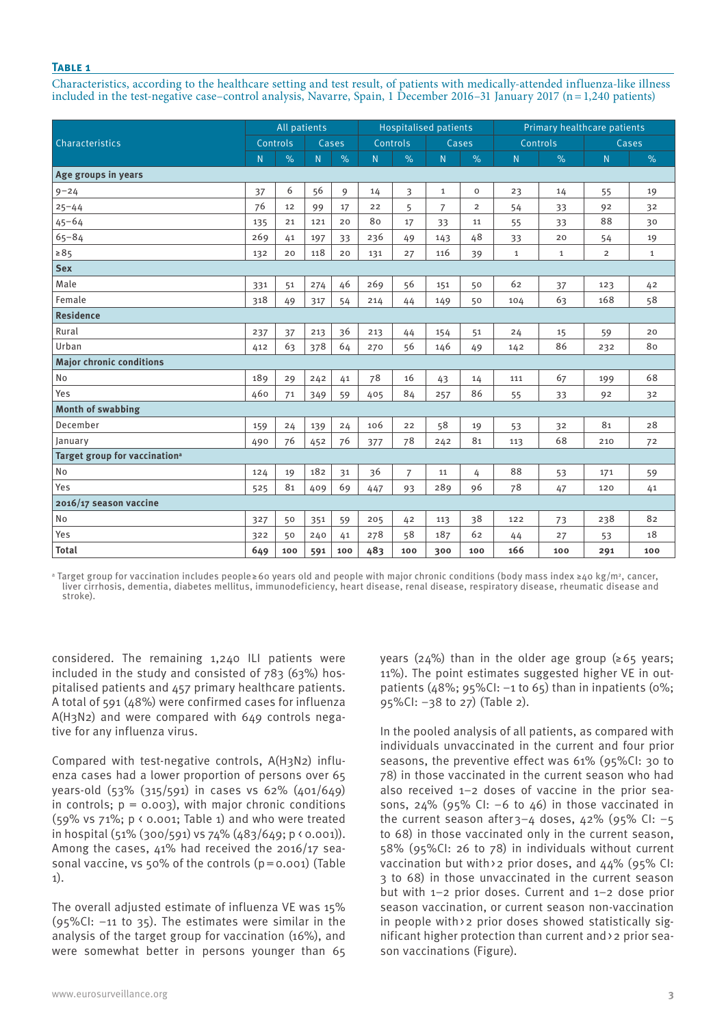## **Table 1**

Characteristics, according to the healthcare setting and test result, of patients with medically-attended influenza-like illness included in the test-negative case–control analysis, Navarre, Spain, 1 December 2016–31 January 2017 (n=1,240 patients)

|                                           |          | All patients  |       |      | <b>Hospitalised patients</b> |                |              | Primary healthcare patients |                |              |                |              |
|-------------------------------------------|----------|---------------|-------|------|------------------------------|----------------|--------------|-----------------------------|----------------|--------------|----------------|--------------|
| Characteristics                           | Controls |               | Cases |      | Controls                     |                | Cases        |                             | Controls       |              | Cases          |              |
|                                           | N.       | $\frac{9}{6}$ | N.    | $\%$ | N.                           | $\%$           | N            | $\%$                        | $\overline{N}$ | $\%$         | N              | $\%$         |
| Age groups in years                       |          |               |       |      |                              |                |              |                             |                |              |                |              |
| $9 - 24$                                  | 37       | 6             | 56    | 9    | 14                           | 3              | $\mathbf{1}$ | $\mathbf 0$                 | 23             | 14           | 55             | 19           |
| $25 - 44$                                 | 76       | 12            | 99    | 17   | 22                           | 5              | 7            | $\overline{2}$              | 54             | 33           | 92             | 32           |
| $45 - 64$                                 | 135      | 21            | 121   | 20   | 80                           | 17             | 33           | 11                          | 55             | 33           | 88             | 30           |
| $65 - 84$                                 | 269      | 41            | 197   | 33   | 236                          | 49             | 143          | 48                          | 33             | 20           | 54             | 19           |
| $\geq 85$                                 | 132      | 20            | 118   | 20   | 131                          | 27             | 116          | 39                          | $\mathbf{1}$   | $\mathbf{1}$ | $\overline{2}$ | $\mathbf{1}$ |
| <b>Sex</b>                                |          |               |       |      |                              |                |              |                             |                |              |                |              |
| Male                                      | 331      | 51            | 274   | 46   | 269                          | 56             | 151          | 50                          | 62             | 37           | 123            | 42           |
| Female                                    | 318      | 49            | 317   | 54   | 214                          | 44             | 149          | 50                          | 104            | 63           | 168            | 58           |
| <b>Residence</b>                          |          |               |       |      |                              |                |              |                             |                |              |                |              |
| Rural                                     | 237      | 37            | 213   | 36   | 213                          | 44             | 154          | 51                          | 24             | 15           | 59             | 20           |
| Urban                                     | 412      | 63            | 378   | 64   | 270                          | 56             | 146          | 49                          | 142            | 86           | 232            | 80           |
| <b>Major chronic conditions</b>           |          |               |       |      |                              |                |              |                             |                |              |                |              |
| <b>No</b>                                 | 189      | 29            | 242   | 41   | 78                           | 16             | 43           | 14                          | 111            | 67           | 199            | 68           |
| Yes                                       | 460      | 71            | 349   | 59   | 405                          | 84             | 257          | 86                          | 55             | 33           | 92             | 32           |
| <b>Month of swabbing</b>                  |          |               |       |      |                              |                |              |                             |                |              |                |              |
| December                                  | 159      | 24            | 139   | 24   | 106                          | 22             | 58           | 19                          | 53             | 32           | 81             | 28           |
| January                                   | 490      | 76            | 452   | 76   | 377                          | 78             | 242          | 81                          | 113            | 68           | 210            | 72           |
| Target group for vaccination <sup>a</sup> |          |               |       |      |                              |                |              |                             |                |              |                |              |
| <b>No</b>                                 | 124      | 19            | 182   | 31   | 36                           | $\overline{7}$ | 11           | 4                           | 88             | 53           | 171            | 59           |
| Yes                                       | 525      | 81            | 409   | 69   | 447                          | 93             | 289          | 96                          | 78             | 47           | 120            | 41           |
| 2016/17 season vaccine                    |          |               |       |      |                              |                |              |                             |                |              |                |              |
| No                                        | 327      | 50            | 351   | 59   | 205                          | 42             | 113          | 38                          | 122            | 73           | 238            | 82           |
| Yes                                       | 322      | 50            | 240   | 41   | 278                          | 58             | 187          | 62                          | 44             | 27           | 53             | 18           |
| <b>Total</b>                              | 649      | 100           | 591   | 100  | 483                          | 100            | 300          | 100                         | 166            | 100          | 291            | 100          |

a Target group for vaccination includes people≥60 years old and people with major chronic conditions (body mass index ≥40 kg/m2, cancer, liver cirrhosis, dementia, diabetes mellitus, immunodeficiency, heart disease, renal disease, respiratory disease, rheumatic disease and stroke).

considered. The remaining 1,240 ILI patients were included in the study and consisted of 783 (63%) hospitalised patients and 457 primary healthcare patients. A total of 591 (48%) were confirmed cases for influenza A(H3N2) and were compared with 649 controls negative for any influenza virus.

Compared with test-negative controls, A(H3N2) influenza cases had a lower proportion of persons over 65 years-old (53% (315/591) in cases vs 62% (401/649) in controls;  $p = 0.003$ ), with major chronic conditions (59% vs 71%; p < 0.001; Table 1) and who were treated in hospital (51% (300/591) vs 74% (483/649; p < 0.001)). Among the cases,  $\mu$ 1% had received the 2016/17 seasonal vaccine, vs 50% of the controls  $(p=0.001)$  (Table 1).

The overall adjusted estimate of influenza VE was 15%  $(95\%$ CI:  $-11$  to 35). The estimates were similar in the analysis of the target group for vaccination (16%), and were somewhat better in persons younger than 65

years (24%) than in the older age group ( $\geq 65$  years; 11%). The point estimates suggested higher VE in outpatients ( $48\%$ ;  $95\%$ CI:  $-1$  to 65) than in inpatients ( $0\%$ ; 95%CI: –38 to 27) (Table 2).

In the pooled analysis of all patients, as compared with individuals unvaccinated in the current and four prior seasons, the preventive effect was 61% (95%CI: 30 to 78) in those vaccinated in the current season who had also received 1–2 doses of vaccine in the prior seasons,  $24\%$  (95% CI: -6 to 46) in those vaccinated in the current season after  $3-4$  doses,  $42\%$  (95% CI: -5 to 68) in those vaccinated only in the current season, 58% (95%CI: 26 to 78) in individuals without current vaccination but with > 2 prior doses, and 44% (95% CI: 3 to 68) in those unvaccinated in the current season but with 1–2 prior doses. Current and 1–2 dose prior season vaccination, or current season non-vaccination in people with>2 prior doses showed statistically significant higher protection than current and>2 prior season vaccinations (Figure).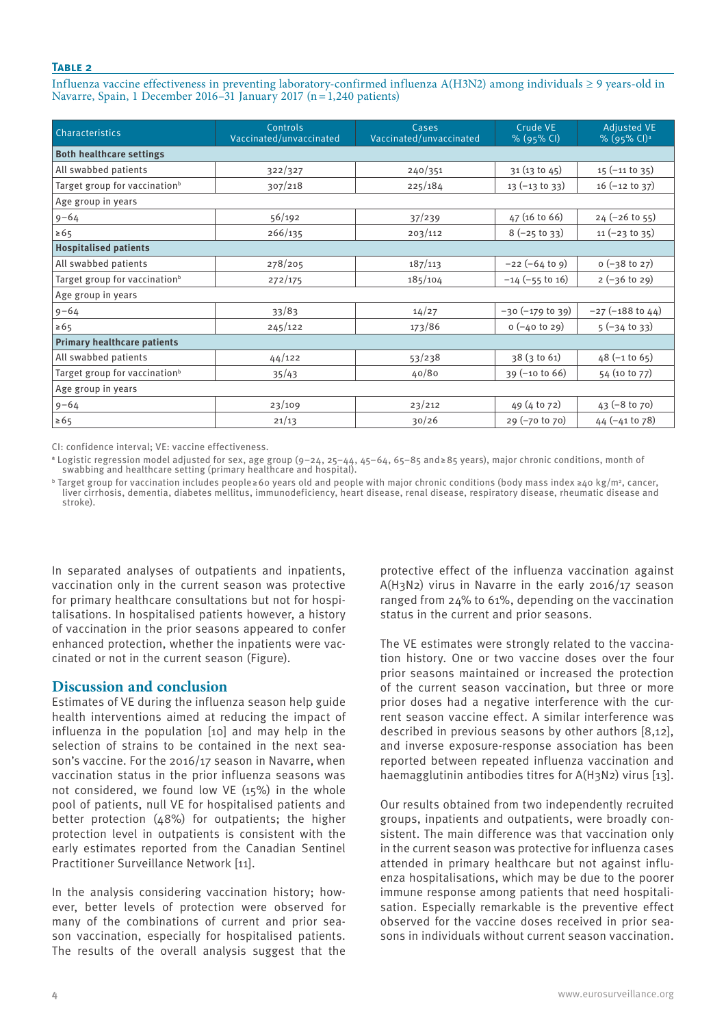## **Table 2**

Influenza vaccine effectiveness in preventing laboratory-confirmed influenza A(H3N2) among individuals ≥ 9 years-old in Navarre, Spain, 1 December 2016–31 January 2017 (n=1,240 patients)

| <b>Characteristics</b>                    | Controls<br>Vaccinated/unvaccinated | Cases<br>Vaccinated/unvaccinated | Crude VE<br>% (95% CI)  | Adjusted VE<br>% (95% CI) <sup>a</sup> |  |
|-------------------------------------------|-------------------------------------|----------------------------------|-------------------------|----------------------------------------|--|
| <b>Both healthcare settings</b>           |                                     |                                  |                         |                                        |  |
| All swabbed patients                      | 322/327                             | 240/351                          | 31 (13 to 45)           | $15$ (-11 to 35)                       |  |
| Target group for vaccination <sup>b</sup> | 307/218                             | 225/184                          | $13 (-13 t0 33)$        | $16$ (-12 to 37)                       |  |
| Age group in years                        |                                     |                                  |                         |                                        |  |
| $9 - 64$                                  | 56/192                              | 37/239                           | $47(16 \text{ to } 66)$ | $24 (-26 to 55)$                       |  |
| $\ge 65$                                  | 266/135                             | 203/112                          | $8(-25$ to 33)          | $11 (-23 to 35)$                       |  |
| <b>Hospitalised patients</b>              |                                     |                                  |                         |                                        |  |
| All swabbed patients                      | 278/205                             | 187/113                          | $-22 (-64 to 9)$        | $o (-38 to 27)$                        |  |
| Target group for vaccination <sup>b</sup> | 272/175                             | 185/104                          | $-14$ (-55 to 16)       | $2(-36 to 29)$                         |  |
| Age group in years                        |                                     |                                  |                         |                                        |  |
| $9 - 64$                                  | 33/83                               | 14/27                            | $-30 (-179)$ to 39)     | $-27$ ( $-188$ to $44$ )               |  |
| $\ge 65$                                  | 245/122                             | 173/86                           | $o (-40 to 29)$         | $5(-34$ to 33)                         |  |
| <b>Primary healthcare patients</b>        |                                     |                                  |                         |                                        |  |
| All swabbed patients                      | 44/122                              | 53/238                           | 38(3 to 61)             | $48$ (-1 to 65)                        |  |
| Target group for vaccination <sup>b</sup> | 35/43                               | 40/80                            | $39 (-10 t0 66)$        | 54 (10 to 77)                          |  |
| Age group in years                        |                                     |                                  |                         |                                        |  |
| $9 - 64$                                  | 23/109                              | 23/212                           | 49 (4 to 72)            | $43 (-8 to 70)$                        |  |
| $\ge 65$                                  | 21/13                               | 30/26                            | $29 (-70 to 70)$        | $44 (-41 t0 78)$                       |  |

CI: confidence interval; VE: vaccine effectiveness.

**<sup>a</sup>** Logistic regression model adjusted for sex, age group (9–24, 25–44, 45–64, 65–85 and≥85 years), major chronic conditions, month of swabbing and healthcare setting (primary healthcare and hospital).

b Target group for vaccination includes people≥60 years old and people with major chronic conditions (body mass index ≥40 kg/m2, cancer, liver cirrhosis, dementia, diabetes mellitus, immunodeficiency, heart disease, renal disease, respiratory disease, rheumatic disease and stroke).

In separated analyses of outpatients and inpatients, vaccination only in the current season was protective for primary healthcare consultations but not for hospitalisations. In hospitalised patients however, a history of vaccination in the prior seasons appeared to confer enhanced protection, whether the inpatients were vaccinated or not in the current season (Figure).

# **Discussion and conclusion**

Estimates of VE during the influenza season help guide health interventions aimed at reducing the impact of influenza in the population [10] and may help in the selection of strains to be contained in the next season's vaccine. For the 2016/17 season in Navarre, when vaccination status in the prior influenza seasons was not considered, we found low VE (15%) in the whole pool of patients, null VE for hospitalised patients and better protection (48%) for outpatients; the higher protection level in outpatients is consistent with the early estimates reported from the Canadian Sentinel Practitioner Surveillance Network [11].

In the analysis considering vaccination history; however, better levels of protection were observed for many of the combinations of current and prior season vaccination, especially for hospitalised patients. The results of the overall analysis suggest that the

protective effect of the influenza vaccination against A(H3N2) virus in Navarre in the early 2016/17 season ranged from 24% to 61%, depending on the vaccination status in the current and prior seasons.

The VE estimates were strongly related to the vaccination history. One or two vaccine doses over the four prior seasons maintained or increased the protection of the current season vaccination, but three or more prior doses had a negative interference with the current season vaccine effect. A similar interference was described in previous seasons by other authors [8,12], and inverse exposure-response association has been reported between repeated influenza vaccination and haemagglutinin antibodies titres for A(H3N2) virus [13].

Our results obtained from two independently recruited groups, inpatients and outpatients, were broadly consistent. The main difference was that vaccination only in the current season was protective for influenza cases attended in primary healthcare but not against influenza hospitalisations, which may be due to the poorer immune response among patients that need hospitalisation. Especially remarkable is the preventive effect observed for the vaccine doses received in prior seasons in individuals without current season vaccination.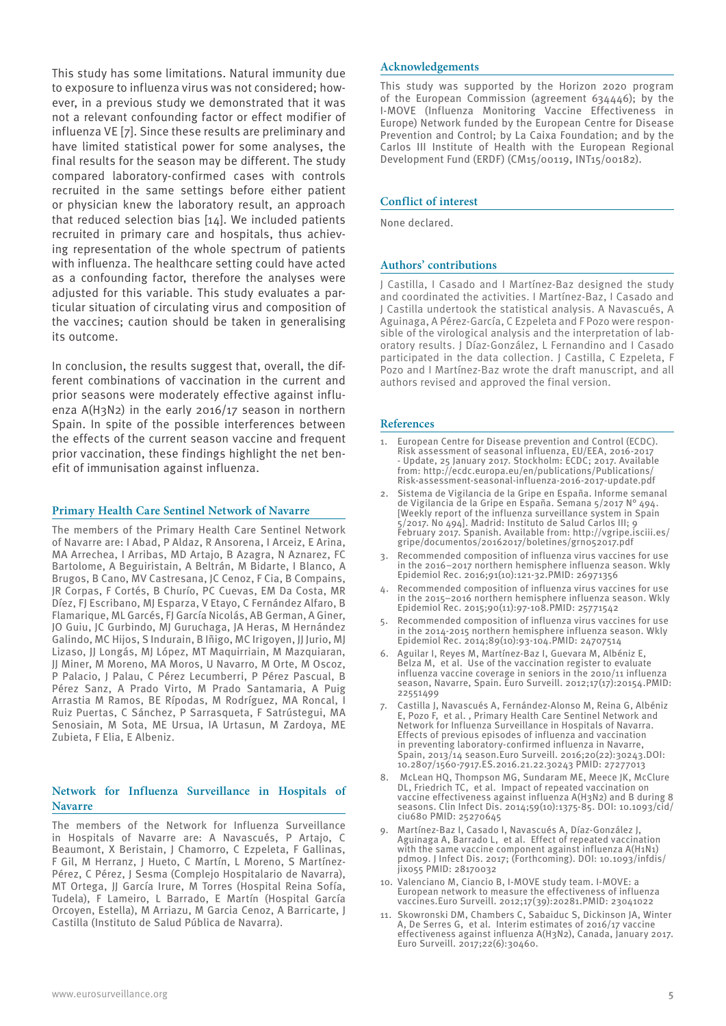This study has some limitations. Natural immunity due to exposure to influenza virus was not considered; however, in a previous study we demonstrated that it was not a relevant confounding factor or effect modifier of influenza VE [7]. Since these results are preliminary and have limited statistical power for some analyses, the final results for the season may be different. The study compared laboratory-confirmed cases with controls recruited in the same settings before either patient or physician knew the laboratory result, an approach that reduced selection bias [14]. We included patients recruited in primary care and hospitals, thus achieving representation of the whole spectrum of patients with influenza. The healthcare setting could have acted as a confounding factor, therefore the analyses were adjusted for this variable. This study evaluates a particular situation of circulating virus and composition of the vaccines; caution should be taken in generalising its outcome.

In conclusion, the results suggest that, overall, the different combinations of vaccination in the current and prior seasons were moderately effective against influenza A(H3N2) in the early 2016/17 season in northern Spain. In spite of the possible interferences between the effects of the current season vaccine and frequent prior vaccination, these findings highlight the net benefit of immunisation against influenza.

## **Primary Health Care Sentinel Network of Navarre**

The members of the Primary Health Care Sentinel Network of Navarre are: I Abad, P Aldaz, R Ansorena, I Arceiz, E Arina, MA Arrechea, I Arribas, MD Artajo, B Azagra, N Aznarez, FC Bartolome, A Beguiristain, A Beltrán, M Bidarte, I Blanco, A Brugos, B Cano, MV Castresana, JC Cenoz, F Cia, B Compains, JR Corpas, F Cortés, B Churío, PC Cuevas, EM Da Costa, MR Díez, FJ Escribano, MJ Esparza, V Etayo, C Fernández Alfaro, B Flamarique, ML Garcés, FJ García Nicolás, AB German, A Giner, JO Guiu, JC Gurbindo, MJ Guruchaga, JA Heras, M Hernández Galindo, MC Hijos, S Indurain, B Iñigo, MC Irigoyen, JJ Jurio, MJ Lizaso, JJ Longás, MJ López, MT Maquirriain, M Mazquiaran, JJ Miner, M Moreno, MA Moros, U Navarro, M Orte, M Oscoz, P Palacio, J Palau, C Pérez Lecumberri, P Pérez Pascual, B Pérez Sanz, A Prado Virto, M Prado Santamaria, A Puig Arrastia M Ramos, BE Rípodas, M Rodríguez, MA Roncal, I Ruiz Puertas, C Sánchez, P Sarrasqueta, F Satrústegui, MA Senosiain, M Sota, ME Ursua, IA Urtasun, M Zardoya, ME Zubieta, F Elia, E Albeniz.

## **Network for Influenza Surveillance in Hospitals of Navarre**

The members of the Network for Influenza Surveillance in Hospitals of Navarre are: A Navascués, P Artajo, C Beaumont, X Beristain, J Chamorro, C Ezpeleta, F Gallinas, F Gil, M Herranz, J Hueto, C Martín, L Moreno, S Martínez-Pérez, C Pérez, J Sesma (Complejo Hospitalario de Navarra), MT Ortega, JJ García Irure, M Torres (Hospital Reina Sofía, Tudela), F Lameiro, L Barrado, E Martín (Hospital García Orcoyen, Estella), M Arriazu, M Garcia Cenoz, A Barricarte, J Castilla (Instituto de Salud Pública de Navarra).

#### **Acknowledgements**

This study was supported by the Horizon 2020 program of the European Commission (agreement 634446); by the I-MOVE (Influenza Monitoring Vaccine Effectiveness in Europe) Network funded by the European Centre for Disease Prevention and Control; by La Caixa Foundation; and by the Carlos III Institute of Health with the European Regional Development Fund (ERDF) (CM15/00119, INT15/00182).

## **Conflict of interest**

None declared.

#### **Authors' contributions**

J Castilla, I Casado and I Martínez-Baz designed the study and coordinated the activities. I Martínez-Baz, I Casado and J Castilla undertook the statistical analysis. A Navascués, A Aguinaga, A Pérez-García, C Ezpeleta and F Pozo were responsible of the virological analysis and the interpretation of laboratory results. J Díaz-González, L Fernandino and I Casado participated in the data collection. J Castilla, C Ezpeleta, F Pozo and I Martínez-Baz wrote the draft manuscript, and all authors revised and approved the final version.

#### **References**

- European Centre for Disease prevention and Control (ECDC). Risk assessment of seasonal influenza, EU/EEA, 2016-2017 - Update, 25 January 2017. Stockholm: ECDC; 2017. Available from: http://ecdc.europa.eu/en/publications/Publications/ Risk-assessment-seasonal-influenza-2016-2017-update.pdf
- 2. Sistema de Vigilancia de la Gripe en España. Informe semanal de Vigilancia de la Gripe en España. Semana 5/2017 N° 494. [Weekly report of the influenza surveillance system in Spain 5/2017. No 494]. Madrid: Instituto de Salud Carlos III; 9 February 2017. Spanish. Available from: http://vgripe.isciii.es/ gripe/documentos/20162017/boletines/grn052017.pdf
- Recommended composition of influenza virus vaccines for use in the 2016–2017 northern hemisphere influenza season. Wkly Epidemiol Rec. 2016;91(10):121-32.PMID: 26971356
- Recommended composition of influenza virus vaccines for use in the 2015–2016 northern hemisphere influenza season. Wkly Epidemiol Rec. 2015;90(11):97-108.PMID: 25771542
- 5. Recommended composition of influenza virus vaccines for use in the 2014-2015 northern hemisphere influenza season. Wkly Epidemiol Rec. 2014;89(10):93-104.PMID: 24707514
- Aguilar I, Reyes M, Martínez-Baz I, Guevara M, Albéniz E, Belza M, et al. Use of the vaccination register to evaluate influenza vaccine coverage in seniors in the 2010/11 influenza season, Navarre, Spain. Euro Surveill. 2012;17(17):20154.PMID: 22551499
- 7. Castilla J, Navascués A, Fernández-Alonso M, Reina G, Albéniz E, Pozo F, et al. , Primary Health Care Sentinel Network and Network for Influenza Surveillance in Hospitals of Navarra. Effects of previous episodes of influenza and vaccination in preventing laboratory-confirmed influenza in Navarre, Spain, 2013/14 season.Euro Surveill. 2016;20(22):30243.DOI: 10.2807/1560-7917.ES.2016.21.22.30243 PMID: 27277013
- 8. McLean HQ, Thompson MG, Sundaram ME, Meece JK, McClure DL, Friedrich TC, et al. Impact of repeated vaccination on vaccine effectiveness against influenza A(H3N2) and B during 8 seasons. Clin Infect Dis. 2014;59(10):1375-85. DOI: 10.1093/cid/ ciu680 PMID: 25270645
- 9. Martínez-Baz I, Casado I, Navascués A, Díaz-González J, Aguinaga A, Barrado L, et al. Effect of repeated vaccination with the same vaccine component against influenza A(H1N1) pdm09. J Infect Dis. 2017; (Forthcoming). DOI: 10.1093/infdis/ jix055 PMID: 28170032
- 10. Valenciano M, Ciancio B, I-MOVE study team. I-MOVE: a European network to measure the effectiveness of influenza vaccines.Euro Surveill. 2012;17(39):20281.PMID: 23041022
- 11. Skowronski DM, Chambers C, Sabaiduc S, Dickinson JA, Winter A, De Serres G, et al. Interim estimates of 2016/17 vaccine effectiveness against influenza A(H3N2), Canada, January 2017. Euro Surveill. 2017;22(6):30460.